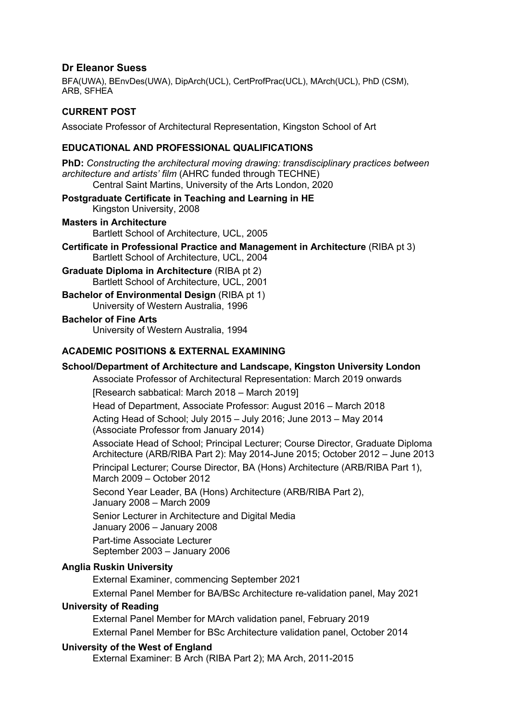# **Dr Eleanor Suess**

BFA(UWA), BEnvDes(UWA), DipArch(UCL), CertProfPrac(UCL), MArch(UCL), PhD (CSM), ARB, SFHEA

# **CURRENT POST**

Associate Professor of Architectural Representation, Kingston School of Art

## **EDUCATIONAL AND PROFESSIONAL QUALIFICATIONS**

**PhD:** *Constructing the architectural moving drawing: transdisciplinary practices between architecture and artists' film* (AHRC funded through TECHNE) Central Saint Martins, University of the Arts London, 2020

#### **Postgraduate Certificate in Teaching and Learning in HE**

Kingston University, 2008

Bartlett School of Architecture, UCL, 2005 **Certificate in Professional Practice and Management in Architecture** (RIBA pt 3) Bartlett School of Architecture, UCL, 2004

**Graduate Diploma in Architecture** (RIBA pt 2) Bartlett School of Architecture, UCL, 2001

**Bachelor of Environmental Design (RIBA pt 1)** University of Western Australia, 1996

#### **Bachelor of Fine Arts**

**Masters in Architecture**

University of Western Australia, 1994

## **ACADEMIC POSITIONS & EXTERNAL EXAMINING**

#### **School/Department of Architecture and Landscape, Kingston University London**

Associate Professor of Architectural Representation: March 2019 onwards [Research sabbatical: March 2018 – March 2019]

Head of Department, Associate Professor: August 2016 – March 2018

Acting Head of School; July 2015 – July 2016; June 2013 – May 2014 (Associate Professor from January 2014)

Associate Head of School; Principal Lecturer; Course Director, Graduate Diploma Architecture (ARB/RIBA Part 2): May 2014-June 2015; October 2012 – June 2013 Principal Lecturer; Course Director, BA (Hons) Architecture (ARB/RIBA Part 1), March 2009 – October 2012

Second Year Leader, BA (Hons) Architecture (ARB/RIBA Part 2), January 2008 – March 2009

Senior Lecturer in Architecture and Digital Media

January 2006 – January 2008

Part-time Associate Lecturer September 2003 – January 2006

# **Anglia Ruskin University**

External Examiner, commencing September 2021 External Panel Member for BA/BSc Architecture re-validation panel, May 2021

#### **University of Reading**

External Panel Member for MArch validation panel, February 2019 External Panel Member for BSc Architecture validation panel, October 2014

## **University of the West of England**

External Examiner: B Arch (RIBA Part 2); MA Arch, 2011-2015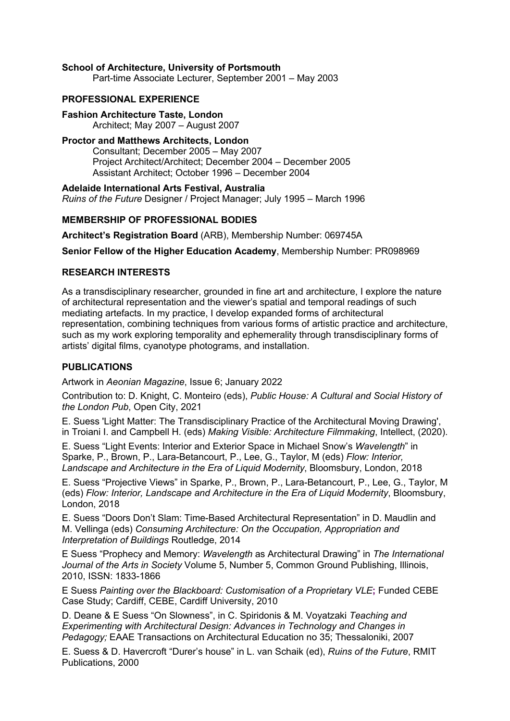#### **School of Architecture, University of Portsmouth**

Part-time Associate Lecturer, September 2001 – May 2003

## **PROFESSIONAL EXPERIENCE**

**Fashion Architecture Taste, London** Architect; May 2007 – August 2007

**Proctor and Matthews Architects, London**

Consultant; December 2005 – May 2007 Project Architect/Architect; December 2004 – December 2005 Assistant Architect; October 1996 – December 2004

**Adelaide International Arts Festival, Australia** *Ruins of the Future* Designer / Project Manager; July 1995 – March 1996

## **MEMBERSHIP OF PROFESSIONAL BODIES**

**Architect's Registration Board** (ARB), Membership Number: 069745A

**Senior Fellow of the Higher Education Academy**, Membership Number: PR098969

#### **RESEARCH INTERESTS**

As a transdisciplinary researcher, grounded in fine art and architecture, I explore the nature of architectural representation and the viewer's spatial and temporal readings of such mediating artefacts. In my practice, I develop expanded forms of architectural representation, combining techniques from various forms of artistic practice and architecture, such as my work exploring temporality and ephemerality through transdisciplinary forms of artists' digital films, cyanotype photograms, and installation.

## **PUBLICATIONS**

Artwork in *Aeonian Magazine*, Issue 6; January 2022

Contribution to: D. Knight, C. Monteiro (eds), *Public House: A Cultural and Social History of the London Pub*, Open City, 2021

E. Suess 'Light Matter: The Transdisciplinary Practice of the Architectural Moving Drawing', in Troiani I. and Campbell H. (eds) *Making Visible: Architecture Filmmaking*, Intellect, (2020).

E. Suess "Light Events: Interior and Exterior Space in Michael Snow's *Wavelength*" in Sparke, P., Brown, P., Lara-Betancourt, P., Lee, G., Taylor, M (eds) *Flow: Interior, Landscape and Architecture in the Era of Liquid Modernity*, Bloomsbury, London, 2018

E. Suess "Projective Views" in Sparke, P., Brown, P., Lara-Betancourt, P., Lee, G., Taylor, M (eds) *Flow: Interior, Landscape and Architecture in the Era of Liquid Modernity*, Bloomsbury, London, 2018

E. Suess "Doors Don't Slam: Time-Based Architectural Representation" in D. Maudlin and M. Vellinga (eds) *Consuming Architecture: On the Occupation, Appropriation and Interpretation of Buildings* Routledge, 2014

E Suess "Prophecy and Memory: *Wavelength* as Architectural Drawing" in *The International Journal of the Arts in Society* Volume 5, Number 5, Common Ground Publishing, Illinois, 2010, ISSN: 1833-1866

E Suess *Painting over the Blackboard: Customisation of a Proprietary VLE***;** Funded CEBE Case Study; Cardiff, CEBE, Cardiff University, 2010

D. Deane & E Suess "On Slowness", in C. Spiridonis & M. Voyatzaki *Teaching and Experimenting with Architectural Design: Advances in Technology and Changes in Pedagogy;* EAAE Transactions on Architectural Education no 35; Thessaloniki, 2007

E. Suess & D. Havercroft "Durer's house" in L. van Schaik (ed), *Ruins of the Future*, RMIT Publications, 2000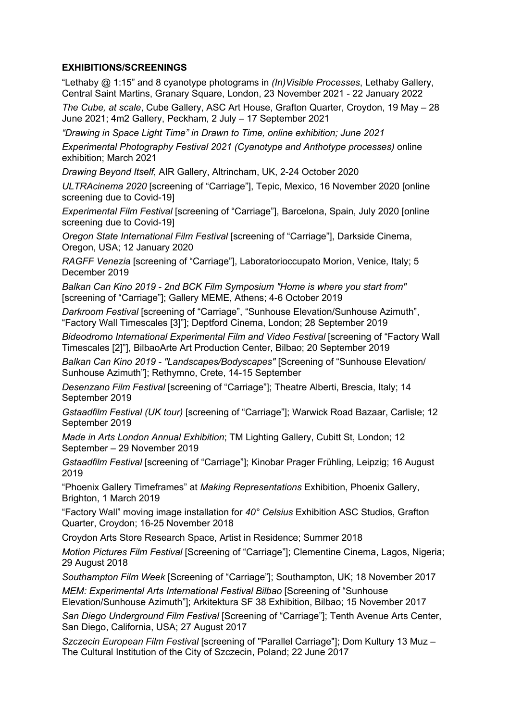# **EXHIBITIONS/SCREENINGS**

"Lethaby @ 1:15" and 8 cyanotype photograms in *(In)Visible Processes*, Lethaby Gallery, Central Saint Martins, Granary Square, London, 23 November 2021 - 22 January 2022

*The Cube, at scale*, Cube Gallery, ASC Art House, Grafton Quarter, Croydon, 19 May – 28 June 2021; 4m2 Gallery, Peckham, 2 July – 17 September 2021

*"Drawing in Space Light Time" in Drawn to Time, online exhibition; June 2021*

*Experimental Photography Festival 2021 (Cyanotype and Anthotype processes)* online exhibition; March 2021

*Drawing Beyond Itself*, AIR Gallery, Altrincham, UK, 2-24 October 2020

*ULTRAcinema 2020* [screening of "Carriage"], Tepic, Mexico, 16 November 2020 [online screening due to Covid-19]

*Experimental Film Festival* [screening of "Carriage"], Barcelona, Spain, July 2020 [online screening due to Covid-19]

*Oregon State International Film Festival* [screening of "Carriage"], Darkside Cinema, Oregon, USA; 12 January 2020

*RAGFF Venezia* [screening of "Carriage"], Laboratorioccupato Morion, Venice, Italy; 5 December 2019

*Balkan Can Kino 2019 - 2nd BCK Film Symposium "Home is where you start from"* [screening of "Carriage"]; Gallery MEME, Athens; 4-6 October 2019

*Darkroom Festival* [screening of "Carriage", "Sunhouse Elevation/Sunhouse Azimuth", "Factory Wall Timescales [3]"]; Deptford Cinema, London; 28 September 2019

*Bideodromo International Experimental Film and Video Festival* [screening of "Factory Wall Timescales [2]"], BilbaoArte Art Production Center, Bilbao; 20 September 2019

*Balkan Can Kino 2019 - "Landscapes/Bodyscapes"* [Screening of "Sunhouse Elevation/ Sunhouse Azimuth"]; Rethymno, Crete, 14-15 September

*Desenzano Film Festival* [screening of "Carriage"]; Theatre Alberti, Brescia, Italy; 14 September 2019

*Gstaadfilm Festival (UK tour)* [screening of "Carriage"]; Warwick Road Bazaar, Carlisle; 12 September 2019

*Made in Arts London Annual Exhibition*; TM Lighting Gallery, Cubitt St, London; 12 September – 29 November 2019

*Gstaadfilm Festival* [screening of "Carriage"]; Kinobar Prager Frühling, Leipzig; 16 August 2019

"Phoenix Gallery Timeframes" at *Making Representations* Exhibition, Phoenix Gallery, Brighton, 1 March 2019

"Factory Wall" moving image installation for *40° Celsius* Exhibition ASC Studios, Grafton Quarter, Croydon; 16-25 November 2018

Croydon Arts Store Research Space, Artist in Residence; Summer 2018

*Motion Pictures Film Festival* [Screening of "Carriage"]; Clementine Cinema, Lagos, Nigeria; 29 August 2018

*Southampton Film Week* [Screening of "Carriage"]; Southampton, UK; 18 November 2017

*MEM: Experimental Arts International Festival Bilbao* [Screening of "Sunhouse Elevation/Sunhouse Azimuth"]; Arkitektura SF 38 Exhibition, Bilbao; 15 November 2017

*San Diego Underground Film Festival* [Screening of "Carriage"]; Tenth Avenue Arts Center, San Diego, California, USA; 27 August 2017

*Szczecin European Film Festival* [screening of "Parallel Carriage"]; Dom Kultury 13 Muz – The Cultural Institution of the City of Szczecin, Poland; 22 June 2017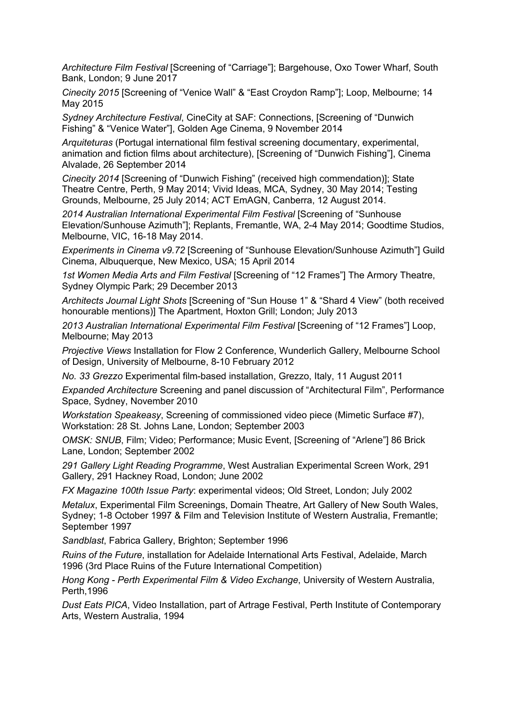*Architecture Film Festival* [Screening of "Carriage"]; Bargehouse, Oxo Tower Wharf, South Bank, London; 9 June 2017

*Cinecity 2015* [Screening of "Venice Wall" & "East Croydon Ramp"]; Loop, Melbourne; 14 May 2015

*Sydney Architecture Festival*, CineCity at SAF: Connections, [Screening of "Dunwich Fishing" & "Venice Water"], Golden Age Cinema, 9 November 2014

*Arquiteturas* (Portugal international film festival screening documentary, experimental, animation and fiction films about architecture), [Screening of "Dunwich Fishing"], Cinema Alvalade, 26 September 2014

*Cinecity 2014* [Screening of "Dunwich Fishing" (received high commendation)]; State Theatre Centre, Perth, 9 May 2014; Vivid Ideas, MCA, Sydney, 30 May 2014; Testing Grounds, Melbourne, 25 July 2014; ACT EmAGN, Canberra, 12 August 2014.

*2014 Australian International Experimental Film Festival* [Screening of "Sunhouse Elevation/Sunhouse Azimuth"]; Replants, Fremantle, WA, 2-4 May 2014; Goodtime Studios, Melbourne, VIC, 16-18 May 2014.

*Experiments in Cinema v9.72* [Screening of "Sunhouse Elevation/Sunhouse Azimuth"] Guild Cinema, Albuquerque, New Mexico, USA; 15 April 2014

1st Women Media Arts and Film Festival [Screening of "12 Frames"] The Armory Theatre, Sydney Olympic Park; 29 December 2013

*Architects Journal Light Shots* [Screening of "Sun House 1" & "Shard 4 View" (both received honourable mentions)] The Apartment, Hoxton Grill; London; July 2013

*2013 Australian International Experimental Film Festival* [Screening of "12 Frames"] Loop, Melbourne; May 2013

*Projective Views* Installation for Flow 2 Conference, Wunderlich Gallery, Melbourne School of Design, University of Melbourne, 8-10 February 2012

*No. 33 Grezzo* Experimental film-based installation, Grezzo, Italy, 11 August 2011

*Expanded Architecture* Screening and panel discussion of "Architectural Film", Performance Space, Sydney, November 2010

*Workstation Speakeasy*, Screening of commissioned video piece (Mimetic Surface #7), Workstation: 28 St. Johns Lane, London; September 2003

*OMSK: SNUB*, Film; Video; Performance; Music Event, [Screening of "Arlene"] 86 Brick Lane, London; September 2002

*291 Gallery Light Reading Programme*, West Australian Experimental Screen Work, 291 Gallery, 291 Hackney Road, London; June 2002

*FX Magazine 100th Issue Party*: experimental videos; Old Street, London; July 2002

*Metalux*, Experimental Film Screenings, Domain Theatre, Art Gallery of New South Wales, Sydney; 1-8 October 1997 & Film and Television Institute of Western Australia, Fremantle; September 1997

*Sandblast*, Fabrica Gallery, Brighton; September 1996

*Ruins of the Future*, installation for Adelaide International Arts Festival, Adelaide, March 1996 (3rd Place Ruins of the Future International Competition)

*Hong Kong - Perth Experimental Film & Video Exchange*, University of Western Australia, Perth,1996

*Dust Eats PICA*, Video Installation, part of Artrage Festival, Perth Institute of Contemporary Arts, Western Australia, 1994